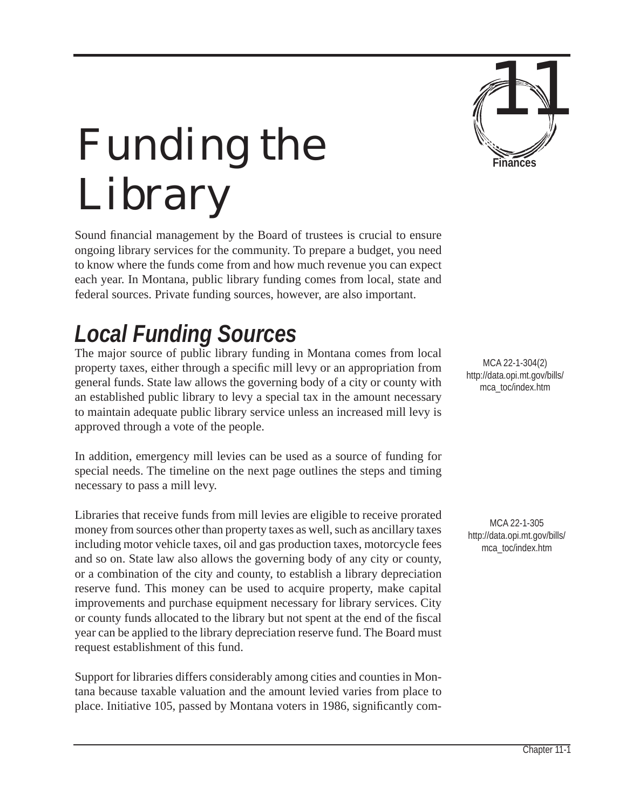

# *Funding the Library*

Sound financial management by the Board of trustees is crucial to ensure ongoing library services for the community. To prepare a budget, you need to know where the funds come from and how much revenue you can expect each year. In Montana, public library funding comes from local, state and federal sources. Private funding sources, however, are also important.

## *Local Funding Sources*

The major source of public library funding in Montana comes from local property taxes, either through a specific mill levy or an appropriation from general funds. State law allows the governing body of a city or county with an established public library to levy a special tax in the amount necessary to maintain adequate public library service unless an increased mill levy is approved through a vote of the people.

In addition, emergency mill levies can be used as a source of funding for special needs. The timeline on the next page outlines the steps and timing necessary to pass a mill levy.

Libraries that receive funds from mill levies are eligible to receive prorated money from sources other than property taxes as well, such as ancillary taxes including motor vehicle taxes, oil and gas production taxes, motorcycle fees and so on. State law also allows the governing body of any city or county, or a combination of the city and county, to establish a library depreciation reserve fund. This money can be used to acquire property, make capital improvements and purchase equipment necessary for library services. City or county funds allocated to the library but not spent at the end of the fiscal year can be applied to the library depreciation reserve fund. The Board must request establishment of this fund.

Support for libraries differs considerably among cities and counties in Montana because taxable valuation and the amount levied varies from place to place. Initiative 105, passed by Montana voters in 1986, significantly com-

MCA 22-1-304(2) http://data.opi.mt.gov/bills/ mca\_toc/index.htm

MCA 22-1-305 http://data.opi.mt.gov/bills/ mca\_toc/index.htm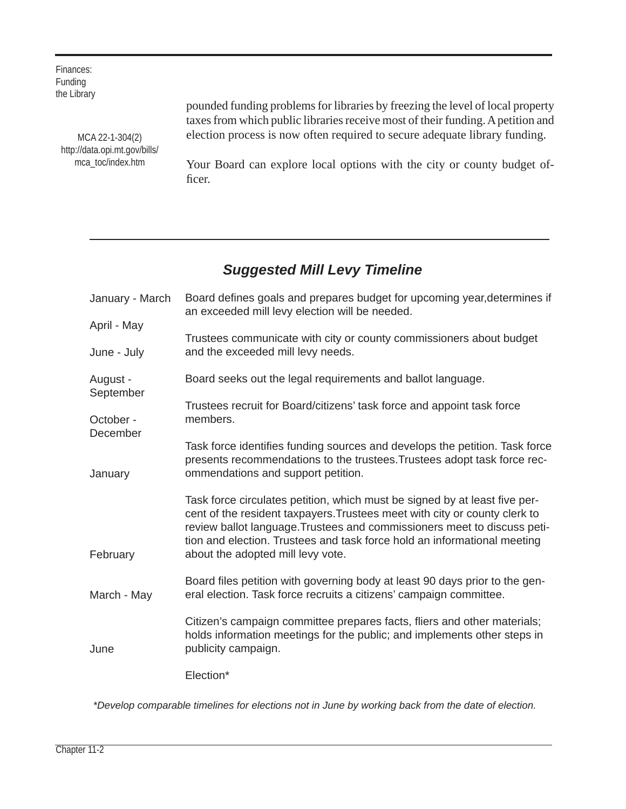Finances: Funding the Library

> MCA 22-1-304(2) http://data.opi.mt.gov/bills/ mca\_toc/index.htm

pounded funding problems for libraries by freezing the level of local property taxes from which public libraries receive most of their funding. A petition and election process is now often required to secure adequate library funding.

Your Board can explore local options with the city or county budget officer.

#### *Suggested Mill Levy Timeline*

| January - March       | Board defines goals and prepares budget for upcoming year, determines if<br>an exceeded mill levy election will be needed.                                                                                                                                                                                                                            |
|-----------------------|-------------------------------------------------------------------------------------------------------------------------------------------------------------------------------------------------------------------------------------------------------------------------------------------------------------------------------------------------------|
| April - May           |                                                                                                                                                                                                                                                                                                                                                       |
| June - July           | Trustees communicate with city or county commissioners about budget<br>and the exceeded mill levy needs.                                                                                                                                                                                                                                              |
| August -<br>September | Board seeks out the legal requirements and ballot language.                                                                                                                                                                                                                                                                                           |
| October -<br>December | Trustees recruit for Board/citizens' task force and appoint task force<br>members.                                                                                                                                                                                                                                                                    |
| January               | Task force identifies funding sources and develops the petition. Task force<br>presents recommendations to the trustees. Trustees adopt task force rec-<br>ommendations and support petition.                                                                                                                                                         |
| February              | Task force circulates petition, which must be signed by at least five per-<br>cent of the resident taxpayers. Trustees meet with city or county clerk to<br>review ballot language. Trustees and commissioners meet to discuss peti-<br>tion and election. Trustees and task force hold an informational meeting<br>about the adopted mill levy vote. |
| March - May           | Board files petition with governing body at least 90 days prior to the gen-<br>eral election. Task force recruits a citizens' campaign committee.                                                                                                                                                                                                     |
| June                  | Citizen's campaign committee prepares facts, fliers and other materials;<br>holds information meetings for the public; and implements other steps in<br>publicity campaign.                                                                                                                                                                           |
|                       | Election*                                                                                                                                                                                                                                                                                                                                             |

*\*Develop comparable timelines for elections not in June by working back from the date of election.*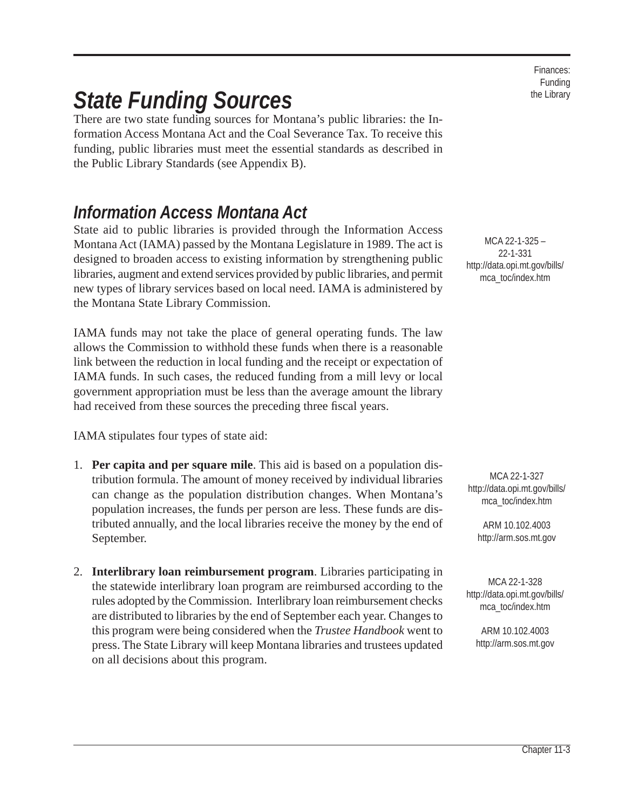Finances: Funding the Library

## *State Funding Sources*

There are two state funding sources for Montana's public libraries: the Information Access Montana Act and the Coal Severance Tax. To receive this funding, public libraries must meet the essential standards as described in the Public Library Standards (see Appendix B).

### *Information Access Montana Act*

State aid to public libraries is provided through the Information Access Montana Act (IAMA) passed by the Montana Legislature in 1989. The act is designed to broaden access to existing information by strengthening public libraries, augment and extend services provided by public libraries, and permit new types of library services based on local need. IAMA is administered by the Montana State Library Commission.

IAMA funds may not take the place of general operating funds. The law allows the Commission to withhold these funds when there is a reasonable link between the reduction in local funding and the receipt or expectation of IAMA funds. In such cases, the reduced funding from a mill levy or local government appropriation must be less than the average amount the library had received from these sources the preceding three fiscal years.

IAMA stipulates four types of state aid:

- 1. **Per capita and per square mile**. This aid is based on a population distribution formula. The amount of money received by individual libraries can change as the population distribution changes. When Montana's population increases, the funds per person are less. These funds are distributed annually, and the local libraries receive the money by the end of September.
- 2. **Interlibrary loan reimbursement program**. Libraries participating in the statewide interlibrary loan program are reimbursed according to the rules adopted by the Commission. Interlibrary loan reimbursement checks are distributed to libraries by the end of September each year. Changes to this program were being considered when the *Trustee Handbook* went to press. The State Library will keep Montana libraries and trustees updated on all decisions about this program.

MCA 22-1-325 – 22-1-331 http://data.opi.mt.gov/bills/ mca\_toc/index.htm

MCA 22-1-327 http://data.opi.mt.gov/bills/ mca\_toc/index.htm

ARM 10.102.4003 http://arm.sos.mt.gov

MCA 22-1-328 http://data.opi.mt.gov/bills/ mca\_toc/index.htm

> ARM 10.102.4003 http://arm.sos.mt.gov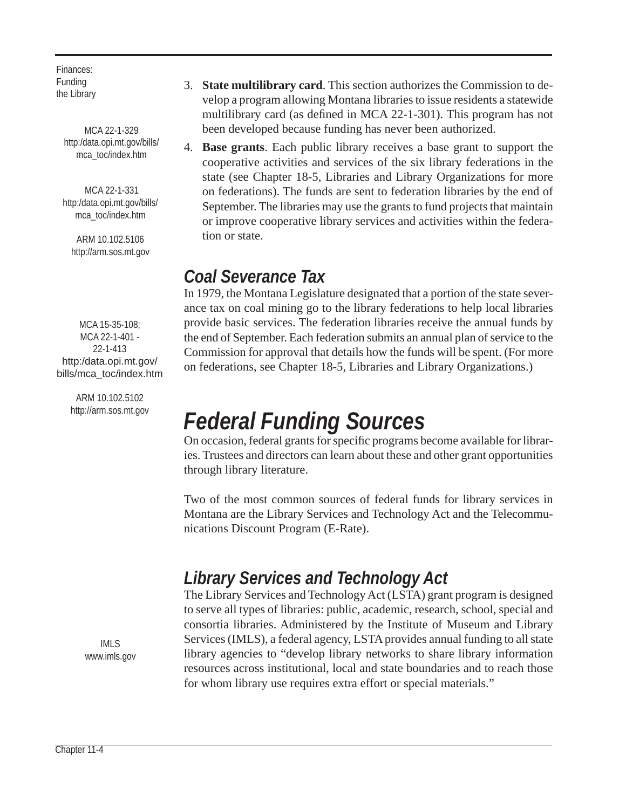Finances: Funding the Library

> MCA 22-1-329 http:/data.opi.mt.gov/bills/ mca\_toc/index.htm

MCA 22-1-331 http:/data.opi.mt.gov/bills/ mca\_toc/index.htm

ARM 10.102.5106 http://arm.sos.mt.gov

MCA 15-35-108; MCA 22-1-401 - 22-1-413 http:/data.opi.mt.gov/ bills/mca\_toc/index.htm

> ARM 10.102.5102 http://arm.sos.mt.gov

3. **State multilibrary card**. This section authorizes the Commission to develop a program allowing Montana libraries to issue residents a statewide multilibrary card (as defined in MCA  $22$ -1-301). This program has not been developed because funding has never been authorized.

4. **Base grants**. Each public library receives a base grant to support the cooperative activities and services of the six library federations in the state (see Chapter 18-5, Libraries and Library Organizations for more on federations). The funds are sent to federation libraries by the end of September. The libraries may use the grants to fund projects that maintain or improve cooperative library services and activities within the federation or state.

### *Coal Severance Tax*

In 1979, the Montana Legislature designated that a portion of the state severance tax on coal mining go to the library federations to help local libraries provide basic services. The federation libraries receive the annual funds by the end of September. Each federation submits an annual plan of service to the Commission for approval that details how the funds will be spent. (For more on federations, see Chapter 18-5, Libraries and Library Organizations.)

## *Federal Funding Sources*

On occasion, federal grants for specific programs become available for libraries. Trustees and directors can learn about these and other grant opportunities through library literature.

Two of the most common sources of federal funds for library services in Montana are the Library Services and Technology Act and the Telecommunications Discount Program (E-Rate).

### *Library Services and Technology Act*

The Library Services and Technology Act (LSTA) grant program is designed to serve all types of libraries: public, academic, research, school, special and consortia libraries. Administered by the Institute of Museum and Library Services (IMLS), a federal agency, LSTA provides annual funding to all state library agencies to "develop library networks to share library information resources across institutional, local and state boundaries and to reach those for whom library use requires extra effort or special materials."

IMLS www.imls.gov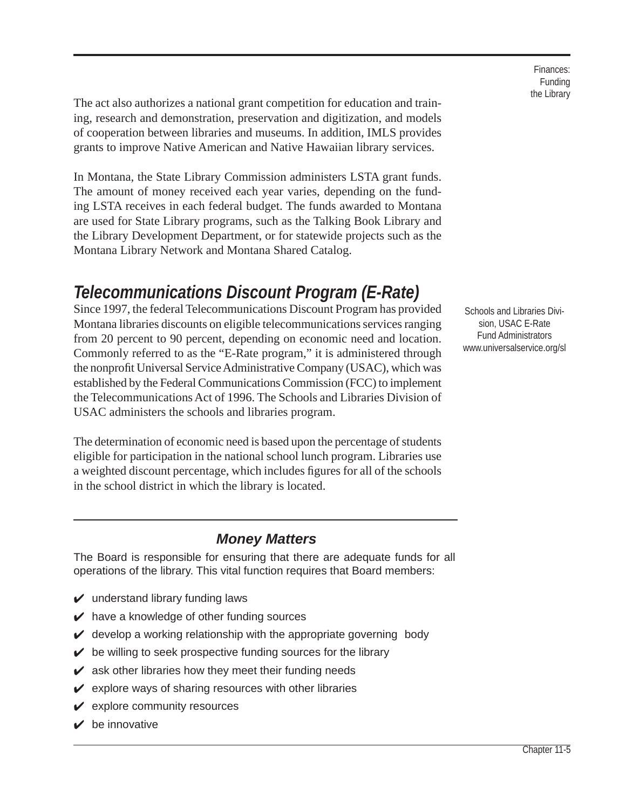The act also authorizes a national grant competition for education and training, research and demonstration, preservation and digitization, and models of cooperation between libraries and museums. In addition, IMLS provides grants to improve Native American and Native Hawaiian library services.

In Montana, the State Library Commission administers LSTA grant funds. The amount of money received each year varies, depending on the funding LSTA receives in each federal budget. The funds awarded to Montana are used for State Library programs, such as the Talking Book Library and the Library Development Department, or for statewide projects such as the Montana Library Network and Montana Shared Catalog.

### *Telecommunications Discount Program (E-Rate)*

Since 1997, the federal Telecommunications Discount Program has provided Montana libraries discounts on eligible telecommunications services ranging from 20 percent to 90 percent, depending on economic need and location. Commonly referred to as the "E-Rate program," it is administered through the nonprofit Universal Service Administrative Company (USAC), which was established by the Federal Communications Commission (FCC) to implement the Telecommunications Act of 1996. The Schools and Libraries Division of USAC administers the schools and libraries program.

The determination of economic need is based upon the percentage of students eligible for participation in the national school lunch program. Libraries use a weighted discount percentage, which includes figures for all of the schools in the school district in which the library is located.

#### *Money Matters*

The Board is responsible for ensuring that there are adequate funds for all operations of the library. This vital function requires that Board members:

- $\boldsymbol{\mathsf{v}}$  understand library funding laws
- $\blacktriangleright$  have a knowledge of other funding sources
- $\mathcal V$  develop a working relationship with the appropriate governing body
- $\mathcal V$  be willing to seek prospective funding sources for the library
- $\mathbf y$  ask other libraries how they meet their funding needs
- $\mathbf y$  explore ways of sharing resources with other libraries
- $\mathbf y$  explore community resources
- $\mathbf y$  be innovative

Finances: Funding the Library

Schools and Libraries Division, USAC E-Rate Fund Administrators www.universalservice.org/sl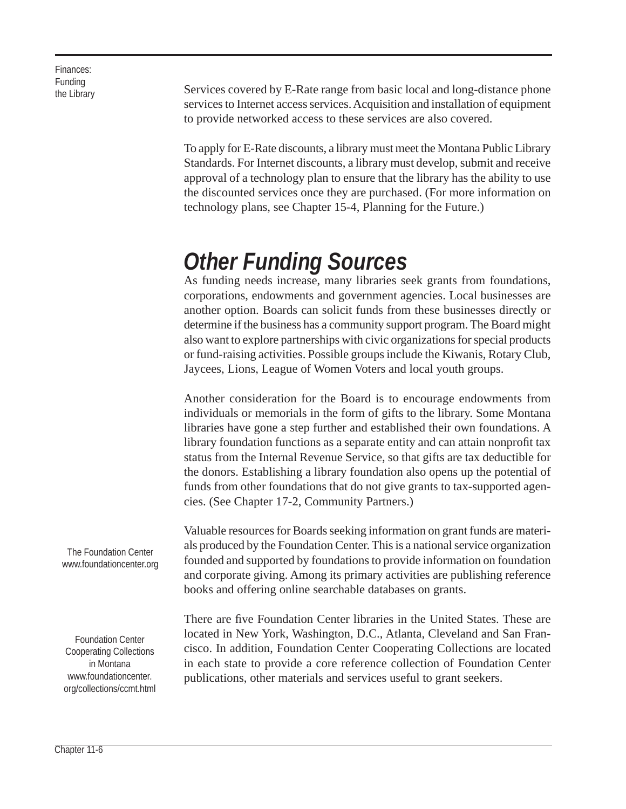the Library Finances: Funding

Services covered by E-Rate range from basic local and long-distance phone services to Internet access services. Acquisition and installation of equipment to provide networked access to these services are also covered.

To apply for E-Rate discounts, a library must meet the Montana Public Library Standards. For Internet discounts, a library must develop, submit and receive approval of a technology plan to ensure that the library has the ability to use the discounted services once they are purchased. (For more information on technology plans, see Chapter 15-4, Planning for the Future.)

## *Other Funding Sources*

As funding needs increase, many libraries seek grants from foundations, corporations, endowments and government agencies. Local businesses are another option. Boards can solicit funds from these businesses directly or determine if the business has a community support program. The Board might also want to explore partnerships with civic organizations for special products or fund-raising activities. Possible groups include the Kiwanis, Rotary Club, Jaycees, Lions, League of Women Voters and local youth groups.

Another consideration for the Board is to encourage endowments from individuals or memorials in the form of gifts to the library. Some Montana libraries have gone a step further and established their own foundations. A library foundation functions as a separate entity and can attain nonprofit tax status from the Internal Revenue Service, so that gifts are tax deductible for the donors. Establishing a library foundation also opens up the potential of funds from other foundations that do not give grants to tax-supported agencies. (See Chapter 17-2, Community Partners.)

Valuable resources for Boards seeking information on grant funds are materials produced by the Foundation Center. This is a national service organization founded and supported by foundations to provide information on foundation and corporate giving. Among its primary activities are publishing reference books and offering online searchable databases on grants.

There are five Foundation Center libraries in the United States. These are located in New York, Washington, D.C., Atlanta, Cleveland and San Francisco. In addition, Foundation Center Cooperating Collections are located in each state to provide a core reference collection of Foundation Center publications, other materials and services useful to grant seekers.

The Foundation Center www.foundationcenter.org

Foundation Center Cooperating Collections in Montana www.foundationcenter. org/collections/ccmt.html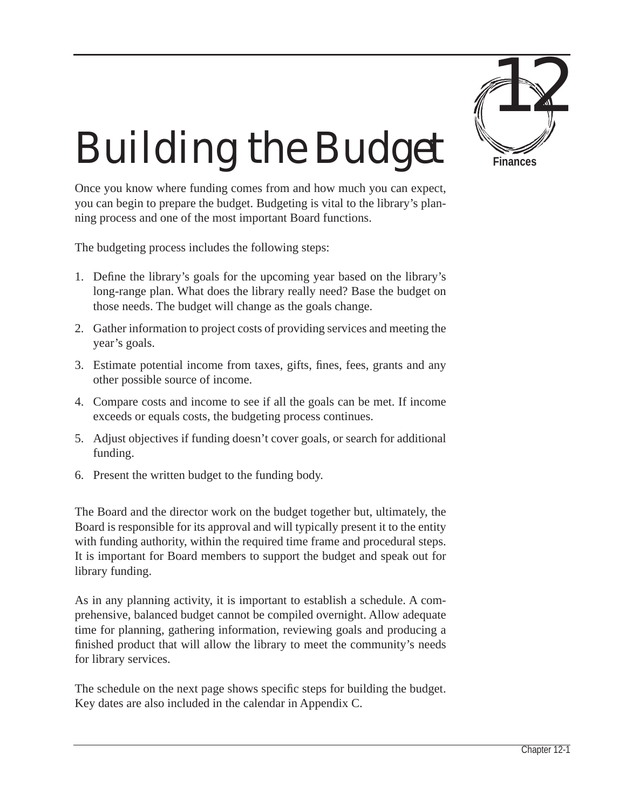

# *Building the Budget*

Once you know where funding comes from and how much you can expect, you can begin to prepare the budget. Budgeting is vital to the library's planning process and one of the most important Board functions.

The budgeting process includes the following steps:

- 1. Define the library's goals for the upcoming year based on the library's long-range plan. What does the library really need? Base the budget on those needs. The budget will change as the goals change.
- 2. Gather information to project costs of providing services and meeting the year's goals.
- 3. Estimate potential income from taxes, gifts, fines, fees, grants and any other possible source of income.
- 4. Compare costs and income to see if all the goals can be met. If income exceeds or equals costs, the budgeting process continues.
- 5. Adjust objectives if funding doesn't cover goals, or search for additional funding.
- 6. Present the written budget to the funding body.

The Board and the director work on the budget together but, ultimately, the Board is responsible for its approval and will typically present it to the entity with funding authority, within the required time frame and procedural steps. It is important for Board members to support the budget and speak out for library funding.

As in any planning activity, it is important to establish a schedule. A comprehensive, balanced budget cannot be compiled overnight. Allow adequate time for planning, gathering information, reviewing goals and producing a finished product that will allow the library to meet the community's needs for library services.

The schedule on the next page shows specific steps for building the budget. Key dates are also included in the calendar in Appendix C.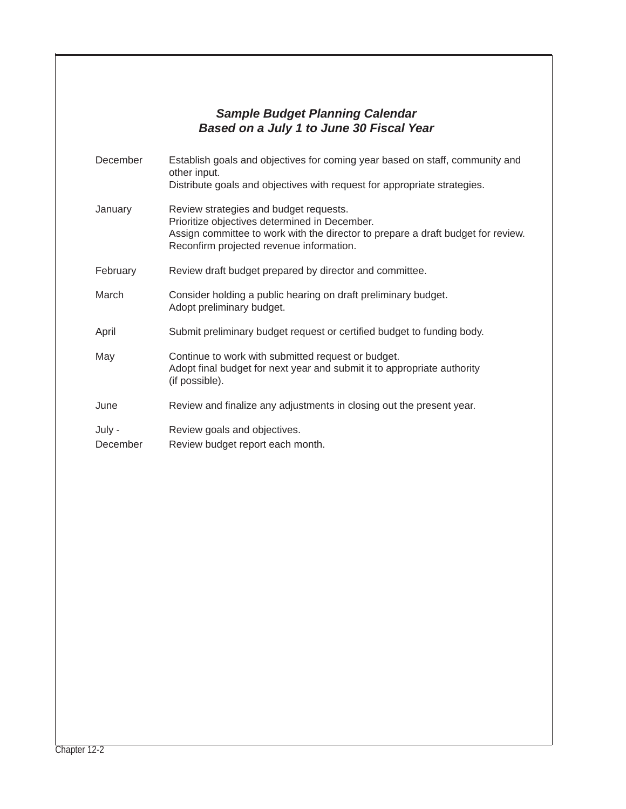#### *Sample Budget Planning Calendar Based on a July 1 to June 30 Fiscal Year*

| December           | Establish goals and objectives for coming year based on staff, community and<br>other input.<br>Distribute goals and objectives with request for appropriate strategies.                                                |
|--------------------|-------------------------------------------------------------------------------------------------------------------------------------------------------------------------------------------------------------------------|
| January            | Review strategies and budget requests.<br>Prioritize objectives determined in December.<br>Assign committee to work with the director to prepare a draft budget for review.<br>Reconfirm projected revenue information. |
| February           | Review draft budget prepared by director and committee.                                                                                                                                                                 |
| March              | Consider holding a public hearing on draft preliminary budget.<br>Adopt preliminary budget.                                                                                                                             |
| April              | Submit preliminary budget request or certified budget to funding body.                                                                                                                                                  |
| May                | Continue to work with submitted request or budget.<br>Adopt final budget for next year and submit it to appropriate authority<br>(if possible).                                                                         |
| June               | Review and finalize any adjustments in closing out the present year.                                                                                                                                                    |
| July -<br>December | Review goals and objectives.<br>Review budget report each month.                                                                                                                                                        |